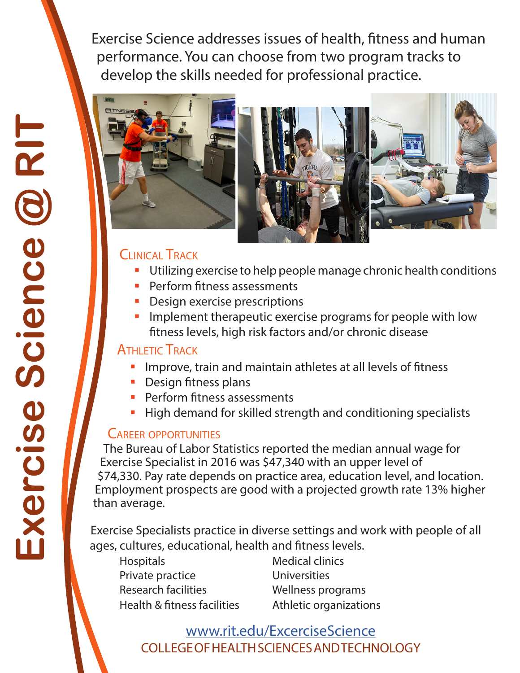Exercise Science addresses issues of health, fitness and human performance. You can choose from two program tracks to develop the skills needed for professional practice.





#### Clinical Track

- **Utilizing exercise to help people manage chronic health conditions**
- **Perform fitness assessments**
- **Design exercise prescriptions**
- **IF** Implement therapeutic exercise programs for people with low fitness levels, high risk factors and/or chronic disease

#### **ATHLETIC TRACK**

- Improve, train and maintain athletes at all levels of fitness
- Design fitness plans
- **Perform fitness assessments**
- **High demand for skilled strength and conditioning specialists**

#### Career opportunities

The Bureau of Labor Statistics reported the median annual wage for Exercise Specialist in 2016 was \$47,340 with an upper level of \$74,330. Pay rate depends on practice area, education level, and location. Employment prospects are good with a projected growth rate 13% higher than average.

Exercise Specialists practice in diverse settings and work with people of all ages, cultures, educational, health and fitness levels.

Hospitals Medical clinics Private practice Universities Research facilities **Wellness** programs Health & fitness facilities Athletic organizations

COLLEGE OF HEALTH SCIENCES AND TECHNOLOGY [www.rit.edu/ExcerciseScience](www.rit.edu/ExerciseScience)